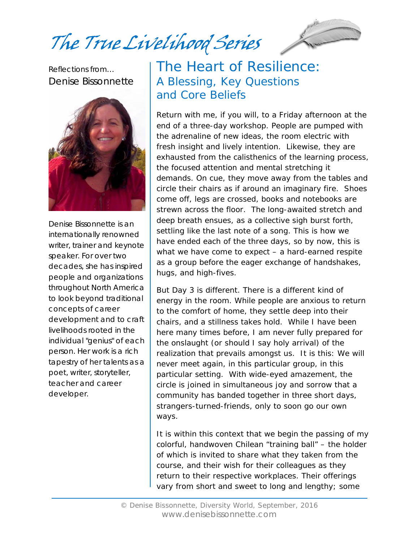The True Livelihood Series

Reflections from… Denise Bissonnette



Denise Bissonnette is an internationally renowned writer, trainer and keynote speaker. For over two decades, she has inspired people and organizations throughout North America to look beyond traditional concepts of career development and to craft livelihoods rooted in the individual "genius" of each person. Her work is a rich tapestry of her talents as a poet, writer, storyteller, teacher and career developer.

#### The Heart of Resilience: A Blessing, Key Questions and Core Beliefs

Return with me, if you will, to a Friday afternoon at the end of a three-day workshop. People are pumped with the adrenaline of new ideas, the room electric with fresh insight and lively intention. Likewise, they are exhausted from the calisthenics of the learning process, the focused attention and mental stretching it demands. On cue, they move away from the tables and circle their chairs as if around an imaginary fire. Shoes come off, legs are crossed, books and notebooks are strewn across the floor. The long-awaited stretch and deep breath ensues, as a collective sigh burst forth, settling like the last note of a song. This is how we have ended each of the three days, so by now, this is what we have come to expect – a hard-earned respite as a group before the eager exchange of handshakes, hugs, and high-fives.

But Day 3 is different. There is a different kind of energy in the room. While people are anxious to return to the comfort of home, they settle deep into their chairs, and a stillness takes hold. While I have been here many times before, I am never fully prepared for the onslaught (or should I say holy arrival) of the realization that prevails amongst us. It is this: We will never meet again, in this particular group, in this particular setting. With wide-eyed amazement, the circle is joined in simultaneous joy and sorrow that a community has banded together in three short days, strangers-turned-friends, only to soon go our own ways.

It is within this context that we begin the passing of my colorful, handwoven Chilean "training ball" – the holder of which is invited to share what they taken from the course, and their wish for their colleagues as they return to their respective workplaces. Their offerings vary from short and sweet to long and lengthy; some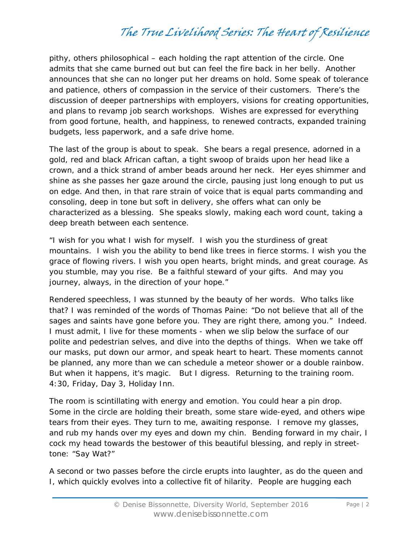pithy, others philosophical – each holding the rapt attention of the circle. One admits that she came burned out but can feel the fire back in her belly. Another announces that she can no longer put her dreams on hold. Some speak of tolerance and patience, others of compassion in the service of their customers. There's the discussion of deeper partnerships with employers, visions for creating opportunities, and plans to revamp job search workshops. Wishes are expressed for everything from good fortune, health, and happiness, to renewed contracts, expanded training budgets, less paperwork, and a safe drive home.

The last of the group is about to speak. She bears a regal presence, adorned in a gold, red and black African caftan, a tight swoop of braids upon her head like a crown, and a thick strand of amber beads around her neck. Her eyes shimmer and shine as she passes her gaze around the circle, pausing just long enough to put us on edge. And then, in that rare strain of voice that is equal parts commanding and consoling, deep in tone but soft in delivery, she offers what can only be characterized as a blessing. She speaks slowly, making each word count, taking a deep breath between each sentence.

*"I wish for you what I wish for myself. I wish you the sturdiness of great mountains. I wish you the ability to bend like trees in fierce storms. I wish you the grace of flowing rivers. I wish you open hearts, bright minds, and great courage. As you stumble, may you rise. Be a faithful steward of your gifts. And may you journey, always, in the direction of your hope."* 

Rendered speechless, I was stunned by the beauty of her words. Who talks like that? I was reminded of the words of Thomas Paine: "Do not believe that all of the sages and saints have gone before you. They are right there, among you." Indeed. I must admit, I live for these moments - when we slip below the surface of our polite and pedestrian selves, and dive into the depths of things. When we take off our masks, put down our armor, and speak heart to heart. These moments cannot be planned, any more than we can schedule a meteor shower or a double rainbow. But when it happens, it's magic. But I digress. Returning to the training room. 4:30, Friday, Day 3, Holiday Inn.

The room is scintillating with energy and emotion. You could hear a pin drop. Some in the circle are holding their breath, some stare wide-eyed, and others wipe tears from their eyes. They turn to me, awaiting response. I remove my glasses, and rub my hands over my eyes and down my chin. Bending forward in my chair, I cock my head towards the bestower of this beautiful blessing, and reply in streettone: "Say Wat?"

A second or two passes before the circle erupts into laughter, as do the queen and I, which quickly evolves into a collective fit of hilarity. People are hugging each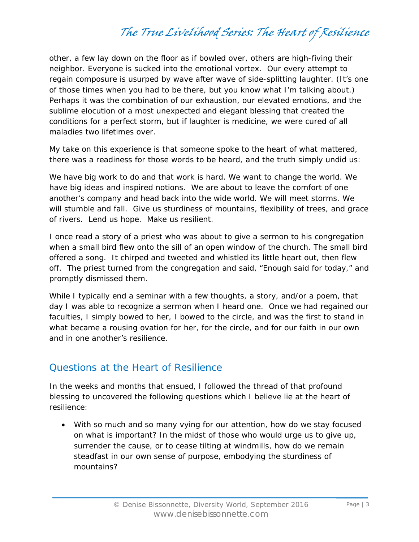other, a few lay down on the floor as if bowled over, others are high-fiving their neighbor. Everyone is sucked into the emotional vortex. Our every attempt to regain composure is usurped by wave after wave of side-splitting laughter. (It's one of those times when you had to be there, but you know what I'm talking about.) Perhaps it was the combination of our exhaustion, our elevated emotions, and the sublime elocution of a most unexpected and elegant blessing that created the conditions for a perfect storm, but if laughter is medicine, we were cured of all maladies two lifetimes over.

My take on this experience is that someone spoke to the heart of what mattered, there was a readiness for those words to be heard, and the truth simply undid us:

*We have big work to do and that work is hard. We want to change the world. We have big ideas and inspired notions. We are about to leave the comfort of one another's company and head back into the wide world. We will meet storms. We will stumble and fall. Give us sturdiness of mountains, flexibility of trees, and grace of rivers. Lend us hope. Make us resilient.* 

I once read a story of a priest who was about to give a sermon to his congregation when a small bird flew onto the sill of an open window of the church. The small bird offered a song. It chirped and tweeted and whistled its little heart out, then flew off. The priest turned from the congregation and said, "Enough said for today," and promptly dismissed them.

While I typically end a seminar with a few thoughts, a story, and/or a poem, that day I was able to recognize a sermon when I heard one. Once we had regained our faculties, I simply bowed to her, I bowed to the circle, and was the first to stand in what became a rousing ovation for her, for the circle, and for our faith in our own and in one another's resilience.

#### Questions at the Heart of Resilience

In the weeks and months that ensued, I followed the thread of that profound blessing to uncovered the following questions which I believe lie at the heart of resilience:

 With so much and so many vying for our attention, how do we stay focused on what is important? In the midst of those who would urge us to give up, surrender the cause, or to cease tilting at windmills, how do we remain steadfast in our own sense of purpose, embodying the sturdiness of mountains?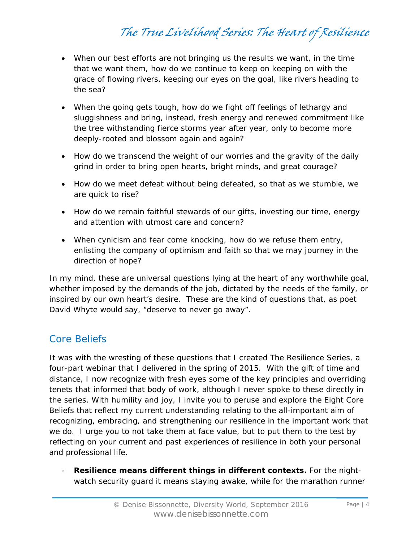- When our best efforts are not bringing us the results we want, in the time that we want them, how do we continue to keep on keeping on with the grace of flowing rivers, keeping our eyes on the goal, like rivers heading to the sea?
- When the going gets tough, how do we fight off feelings of lethargy and sluggishness and bring, instead, fresh energy and renewed commitment like the tree withstanding fierce storms year after year, only to become more deeply-rooted and blossom again and again?
- How do we transcend the weight of our worries and the gravity of the daily grind in order to bring open hearts, bright minds, and great courage?
- How do we meet defeat without being defeated, so that as we stumble, we are quick to rise?
- How do we remain faithful stewards of our gifts, investing our time, energy and attention with utmost care and concern?
- When cynicism and fear come knocking, how do we refuse them entry, enlisting the company of optimism and faith so that we may journey in the direction of hope?

In my mind, these are universal questions lying at the heart of any worthwhile goal, whether imposed by the demands of the job, dictated by the needs of the family, or inspired by our own heart's desire. These are the kind of questions that, as poet David Whyte would say, "deserve to never go away".

#### Core Beliefs

It was with the wresting of these questions that I created The Resilience Series, a four-part webinar that I delivered in the spring of 2015. With the gift of time and distance, I now recognize with fresh eyes some of the key principles and overriding tenets that informed that body of work, although I never spoke to these directly in the series. With humility and joy, I invite you to peruse and explore the Eight Core Beliefs that reflect my current understanding relating to the all-important aim of recognizing, embracing, and strengthening our resilience in the important work that we do. I urge you to not take them at face value, but to put them to the test by reflecting on your current and past experiences of resilience in both your personal and professional life.

- **Resilience means different things in different contexts.** For the nightwatch security guard it means staying awake, while for the marathon runner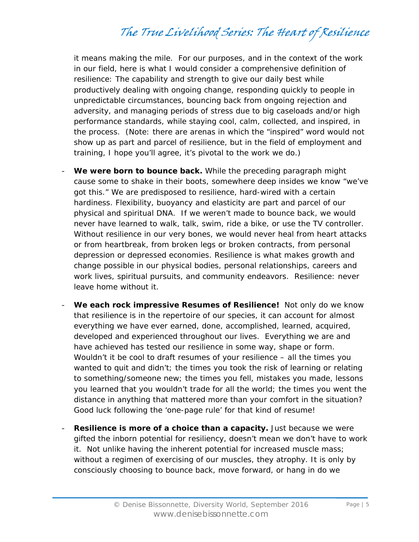it means making the mile. For our purposes, and in the context of the work in our field, here is what I would consider a comprehensive definition of resilience: The capability and strength to give our daily best while productively dealing with ongoing change, responding quickly to people in unpredictable circumstances, bouncing back from ongoing rejection and adversity, and managing periods of stress due to big caseloads and/or high performance standards, while staying cool, calm, collected, and inspired, in the process. (Note: there are arenas in which the "inspired" word would not show up as part and parcel of resilience, but in the field of employment and training, I hope you'll agree, it's pivotal to the work we do.)

- We were born to bounce back. While the preceding paragraph might cause some to shake in their boots, somewhere deep insides we know "we've got this." We are predisposed to resilience, hard-wired with a certain hardiness. Flexibility, buoyancy and elasticity are part and parcel of our physical and spiritual DNA. If we weren't made to bounce back, we would never have learned to walk, talk, swim, ride a bike, or use the TV controller. Without resilience in our very bones, we would never heal from heart attacks or from heartbreak, from broken legs or broken contracts, from personal depression or depressed economies. Resilience is what makes growth and change possible in our physical bodies, personal relationships, careers and work lives, spiritual pursuits, and community endeavors. Resilience: never leave home without it.
- **We each rock impressive Resumes of Resilience!** Not only do we know that resilience is in the repertoire of our species, it can account for almost everything we have ever earned, done, accomplished, learned, acquired, developed and experienced throughout our lives. Everything we are and have achieved has tested our resilience in some way, shape or form. Wouldn't it be cool to draft resumes of your resilience – all the times you wanted to quit and didn't; the times you took the risk of learning or relating to something/someone new; the times you fell, mistakes you made, lessons you learned that you wouldn't trade for all the world; the times you went the distance in anything that mattered more than your comfort in the situation? Good luck following the 'one-page rule' for that kind of resume!
- **Resilience is more of a choice than a capacity.** Just because we were gifted the inborn potential for resiliency, doesn't mean we don't have to work it. Not unlike having the inherent potential for increased muscle mass; without a regimen of exercising of our muscles, they atrophy. It is only by consciously choosing to bounce back, move forward, or hang in do we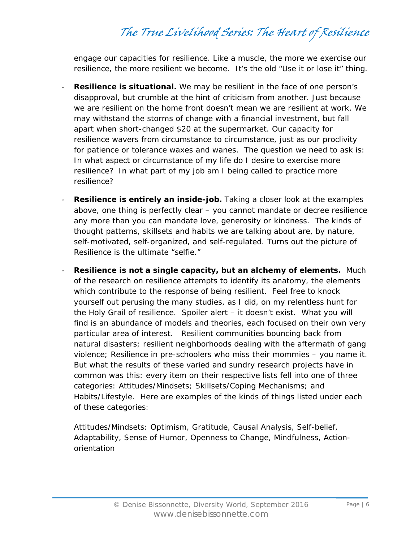engage our capacities for resilience. Like a muscle, the more we exercise our resilience, the more resilient we become. It's the old "Use it or lose it" thing.

- **Resilience is situational.** We may be resilient in the face of one person's disapproval, but crumble at the hint of criticism from another. Just because we are resilient on the home front doesn't mean we are resilient at work. We may withstand the storms of change with a financial investment, but fall apart when short-changed \$20 at the supermarket. Our capacity for resilience wavers from circumstance to circumstance, just as our proclivity for patience or tolerance waxes and wanes. The question we need to ask is: In what aspect or circumstance of my life do I desire to exercise more resilience? In what part of my job am I being called to *practice* more resilience?
- **Resilience is entirely an inside-job.** Taking a closer look at the examples above, one thing is perfectly clear – you cannot mandate or decree resilience any more than you can mandate love, generosity or kindness. The kinds of thought patterns, skillsets and habits we are talking about are, by nature, self-motivated, self-organized, and self-regulated. Turns out the picture of Resilience is the ultimate "selfie."
- **Resilience is not a single capacity, but an alchemy of elements.** Much of the research on resilience attempts to identify its anatomy, the elements which contribute to the response of being resilient. Feel free to knock yourself out perusing the many studies, as I did, on my relentless hunt for the Holy Grail of resilience. Spoiler alert – it doesn't exist. What you *will* find is an abundance of models and theories, each focused on their own very particular area of interest. Resilient communities bouncing back from natural disasters; resilient neighborhoods dealing with the aftermath of gang violence; Resilience in pre-schoolers who miss their mommies – you name it. But what the results of these varied and sundry research projects have in common was this: every item on their respective lists fell into one of three categories: *Attitudes/Mindsets; Skillsets/Coping Mechanisms; and Habits/Lifestyle.* Here are examples of the kinds of things listed under each of these categories:

Attitudes/Mindsets*:* Optimism, Gratitude, Causal Analysis, Self-belief, Adaptability, Sense of Humor, Openness to Change, Mindfulness, Actionorientation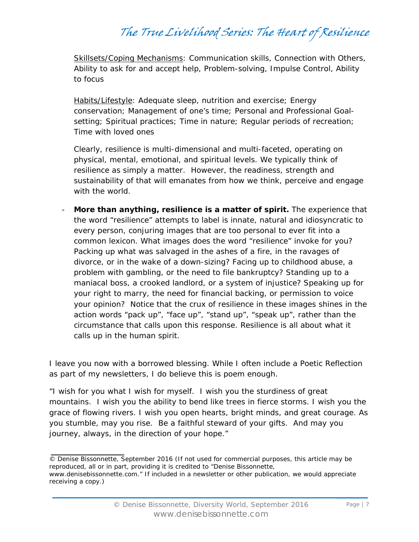Skillsets/Coping Mechanisms*:* Communication skills, Connection with Others, Ability to ask for and accept help, Problem-solving, Impulse Control, Ability to focus

Habits/Lifestyle*:* Adequate sleep, nutrition and exercise; Energy conservation; Management of one's time; Personal and Professional Goalsetting; Spiritual practices; Time in nature; Regular periods of recreation; Time with loved ones

Clearly, resilience is multi-dimensional and multi-faceted, operating on physical, mental, emotional, and spiritual levels. We typically think of resilience as simply a matter. However, the readiness, strength and sustainability of that will emanates from how we think, perceive and engage with the world.

- **More than anything, resilience is a matter of spirit.** The experience that the word "resilience" attempts to label is innate, natural and idiosyncratic to every person, conjuring images that are too personal to ever fit into a common lexicon. What images does the word "resilience" invoke for you? Packing up what was salvaged in the ashes of a fire, in the ravages of divorce, or in the wake of a down-sizing? Facing up to childhood abuse, a problem with gambling, or the need to file bankruptcy? Standing up to a maniacal boss, a crooked landlord, or a system of injustice? Speaking up for your right to marry, the need for financial backing, or permission to voice your opinion? Notice that the crux of resilience in these images shines in the action words "pack up", "face up", "stand up", "speak up", rather than the circumstance that calls upon this response. Resilience is all about what it calls up in the human spirit.

I leave you now with a borrowed blessing. While I often include a Poetic Reflection as part of my newsletters, I do believe this is poem enough.

*"I wish for you what I wish for myself. I wish you the sturdiness of great mountains. I wish you the ability to bend like trees in fierce storms. I wish you the grace of flowing rivers. I wish you open hearts, bright minds, and great courage. As you stumble, may you rise. Be a faithful steward of your gifts. And may you journey, always, in the direction of your hope."* 

<sup>©</sup> Denise Bissonnette, September 2016 (If not used for commercial purposes, this article may be reproduced, all or in part, providing it is credited to "Denise Bissonnette,

www.denisebissonnette.com." If included in a newsletter or other publication, we would appreciate receiving a copy.)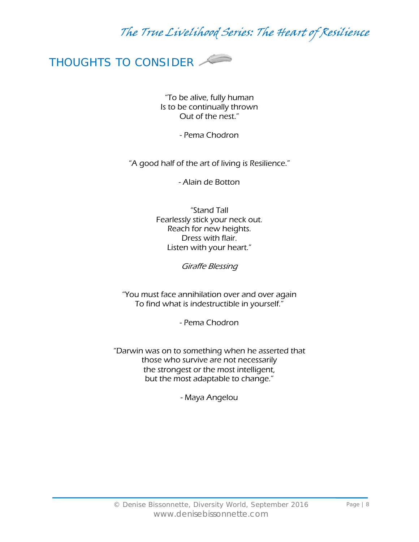

"To be alive, fully human Is to be continually thrown Out of the nest."

- Pema Chodron

"A good half of the art of living is Resilience."

- Alain de Botton

"Stand Tall Fearlessly stick your neck out. Reach for new heights. Dress with flair. Listen with your heart."

Giraffe Blessing

"You must face annihilation over and over again To find what is indestructible in yourself."

- Pema Chodron

"Darwin was on to something when he asserted that those who survive are not necessarily the strongest or the most intelligent, but the most adaptable to change."

- Maya Angelou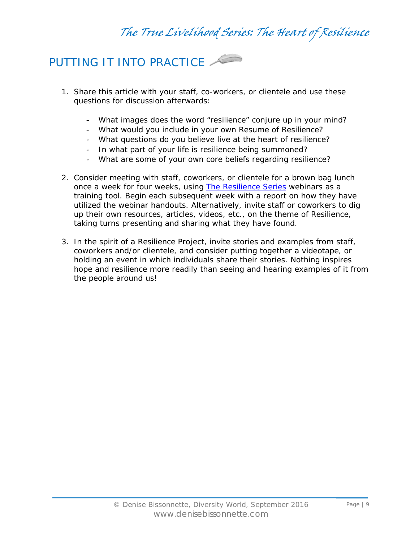

- 1. Share this article with your staff, co-workers, or clientele and use these questions for discussion afterwards:
	- What images does the word "resilience" conjure up in your mind?
	- What would you include in your own Resume of Resilience?
	- What questions do you believe live at the heart of resilience?
	- In what part of your life is resilience being summoned?
	- What are some of your own core beliefs regarding resilience?
- 2. Consider meeting with staff, coworkers, or clientele for a brown bag lunch once a week for four weeks, using [The Resilience Series](http://www.denisebissonnette.com/webinars.htm) webinars as a training tool. Begin each subsequent week with a report on how they have utilized the webinar handouts. Alternatively, invite staff or coworkers to dig up their own resources, articles, videos, etc., on the theme of Resilience, taking turns presenting and sharing what they have found.
- 3. In the spirit of a Resilience Project, invite stories and examples from staff, coworkers and/or clientele, and consider putting together a videotape, or holding an event in which individuals share their stories. Nothing inspires hope and resilience more readily than seeing and hearing examples of it from the people around us!